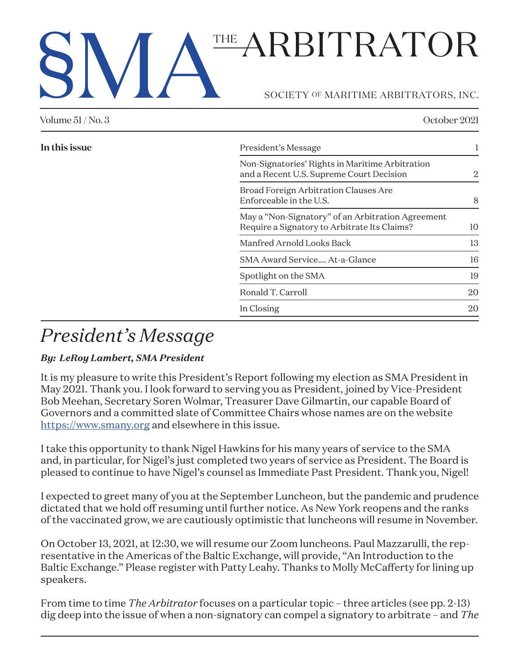# SOCIETY OF MARITIME ARBITRATORS, INC. THE ARBITRATOR

Volume 51 / No. 3 October 2021

| In this issue | President's Message                                                                               |    |
|---------------|---------------------------------------------------------------------------------------------------|----|
|               | Non-Signatories' Rights in Maritime Arbitration<br>and a Recent U.S. Supreme Court Decision       | 2  |
|               | Broad Foreign Arbitration Clauses Are<br>Enforceable in the U.S.                                  | 8  |
|               | May a "Non-Signatory" of an Arbitration Agreement<br>Require a Signatory to Arbitrate Its Claims? | 10 |
|               | Manfred Arnold Looks Back                                                                         | 13 |
|               | SMA Award Service At-a-Glance                                                                     | 16 |
|               | Spotlight on the SMA                                                                              | 19 |
|               | Ronald T. Carroll                                                                                 | 20 |
|               | In Closing                                                                                        | 20 |
|               |                                                                                                   |    |

### *President's Message*

### *By: LeRoy Lambert, SMA President*

It is my pleasure to write this President's Report following my election as SMA President in May 2021. Thank you. I look forward to serving you as President, joined by Vice-President Bob Meehan, Secretary Soren Wolmar, Treasurer Dave Gilmartin, our capable Board of Governors and a committed slate of Committee Chairs whose names are on the website <https://www.smany.org>and elsewhere in this issue.

I take this opportunity to thank Nigel Hawkins for his many years of service to the SMA and, in particular, for Nigel's just completed two years of service as President. The Board is pleased to continue to have Nigel's counsel as Immediate Past President. Thank you, Nigel!

I expected to greet many of you at the September Luncheon, but the pandemic and prudence dictated that we hold off resuming until further notice. As New York reopens and the ranks of the vaccinated grow, we are cautiously optimistic that luncheons will resume in November.

On October 13, 2021, at 12:30, we will resume our Zoom luncheons. Paul Mazzarulli, the representative in the Americas of the Baltic Exchange, will provide, "An Introduction to the Baltic Exchange." Please register with Patty Leahy. Thanks to Molly McCafferty for lining up speakers.

From time to time *The Arbitrator* focuses on a particular topic – three articles (see pp. 2-13) dig deep into the issue of when a non-signatory can compel a signatory to arbitrate – and *The*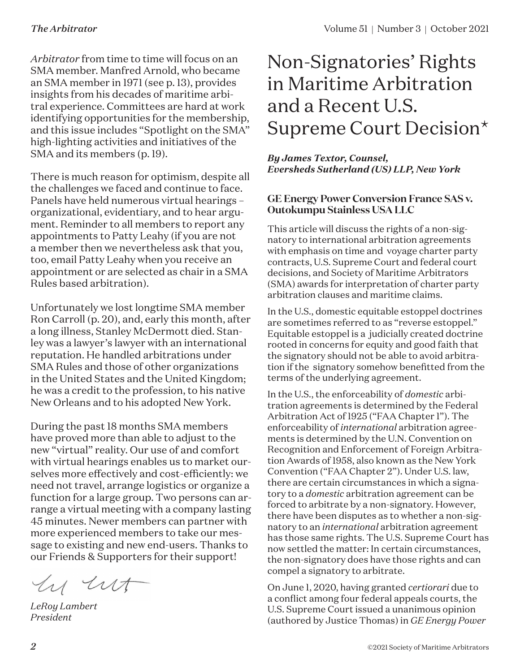*Arbitrator* from time to time will focus on an SMA member. Manfred Arnold, who became an SMA member in 1971 (see p. 13), provides insights from his decades of maritime arbitral experience. Committees are hard at work identifying opportunities for the membership, and this issue includes "Spotlight on the SMA" high-lighting activities and initiatives of the SMA and its members (p. 19).

There is much reason for optimism, despite all the challenges we faced and continue to face. Panels have held numerous virtual hearings – organizational, evidentiary, and to hear argument. Reminder to all members to report any appointments to Patty Leahy (if you are not a member then we nevertheless ask that you, too, email Patty Leahy when you receive an appointment or are selected as chair in a SMA Rules based arbitration).

Unfortunately we lost longtime SMA member Ron Carroll (p. 20), and, early this month, after a long illness, Stanley McDermott died. Stanley was a lawyer's lawyer with an international reputation. He handled arbitrations under SMA Rules and those of other organizations in the United States and the United Kingdom; he was a credit to the profession, to his native New Orleans and to his adopted New York.

During the past 18 months SMA members have proved more than able to adjust to the new "virtual" reality. Our use of and comfort with virtual hearings enables us to market ourselves more effectively and cost-efficiently: we need not travel, arrange logistics or organize a function for a large group. Two persons can arrange a virtual meeting with a company lasting 45 minutes. Newer members can partner with more experienced members to take our message to existing and new end-users. Thanks to our Friends & Supporters for their support!

hy nt

*LeRoy Lambert President*

### Non-Signatories' Rights in Maritime Arbitration and a Recent U.S. Supreme Court Decision\*

*By James Textor, Counsel, Eversheds Sutherland (US) LLP, New York*

#### **GE Energy Power Conversion France SAS v. Outokumpu Stainless USA LLC**

This article will discuss the rights of a non-signatory to international arbitration agreements with emphasis on time and voyage charter party contracts, U.S. Supreme Court and federal court decisions, and Society of Maritime Arbitrators (SMA) awards for interpretation of charter party arbitration clauses and maritime claims.

In the U.S., domestic equitable estoppel doctrines are sometimes referred to as "reverse estoppel." Equitable estoppel is a judicially created doctrine rooted in concerns for equity and good faith that the signatory should not be able to avoid arbitration if the signatory somehow benefitted from the terms of the underlying agreement.

In the U.S., the enforceability of *domestic* arbitration agreements is determined by the Federal Arbitration Act of 1925 ("FAA Chapter 1"). The enforceability of *international* arbitration agreements is determined by the U.N. Convention on Recognition and Enforcement of Foreign Arbitration Awards of 1958, also known as the New York Convention ("FAA Chapter 2"). Under U.S. law, there are certain circumstances in which a signatory to a *domestic* arbitration agreement can be forced to arbitrate by a non-signatory. However, there have been disputes as to whether a non-signatory to an *international* arbitration agreement has those same rights. The U.S. Supreme Court has now settled the matter: In certain circumstances, the non-signatory does have those rights and can compel a signatory to arbitrate.

On June 1, 2020, having granted *certiorari* due to a conflict among four federal appeals courts, the U.S. Supreme Court issued a unanimous opinion (authored by Justice Thomas) in *GE Energy Power*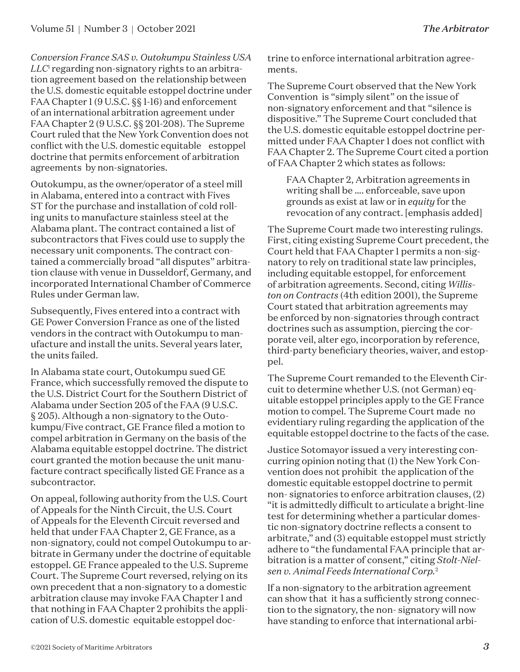*Conversion France SAS v. Outokumpu Stainless USA LLC*<sup>1</sup> regarding non-signatory rights to an arbitration agreement based on the relationship between the U.S. domestic equitable estoppel doctrine under FAA Chapter 1 (9 U.S.C. §§ 1-16) and enforcement of an international arbitration agreement under FAA Chapter 2 (9 U.S.C. §§ 201-208). The Supreme Court ruled that the New York Convention does not conflict with the U.S. domestic equitable estoppel doctrine that permits enforcement of arbitration agreements by non-signatories.

Outokumpu, as the owner/operator of a steel mill in Alabama, entered into a contract with Fives ST for the purchase and installation of cold rolling units to manufacture stainless steel at the Alabama plant. The contract contained a list of subcontractors that Fives could use to supply the necessary unit components. The contract contained a commercially broad "all disputes" arbitration clause with venue in Dusseldorf, Germany, and incorporated International Chamber of Commerce Rules under German law.

Subsequently, Fives entered into a contract with GE Power Conversion France as one of the listed vendors in the contract with Outokumpu to manufacture and install the units. Several years later, the units failed.

In Alabama state court, Outokumpu sued GE France, which successfully removed the dispute to the U.S. District Court for the Southern District of Alabama under Section 205 of the FAA (9 U.S.C. § 205). Although a non-signatory to the Outokumpu/Five contract, GE France filed a motion to compel arbitration in Germany on the basis of the Alabama equitable estoppel doctrine. The district court granted the motion because the unit manufacture contract specifically listed GE France as a subcontractor.

On appeal, following authority from the U.S. Court of Appeals for the Ninth Circuit, the U.S. Court of Appeals for the Eleventh Circuit reversed and held that under FAA Chapter 2, GE France, as a non-signatory, could not compel Outokumpu to arbitrate in Germany under the doctrine of equitable estoppel. GE France appealed to the U.S. Supreme Court. The Supreme Court reversed, relying on its own precedent that a non-signatory to a domestic arbitration clause may invoke FAA Chapter 1 and that nothing in FAA Chapter 2 prohibits the application of U.S. domestic equitable estoppel doctrine to enforce international arbitration agreements.

The Supreme Court observed that the New York Convention is "simply silent" on the issue of non-signatory enforcement and that "silence is dispositive." The Supreme Court concluded that the U.S. domestic equitable estoppel doctrine permitted under FAA Chapter 1 does not conflict with FAA Chapter 2. The Supreme Court cited a portion of FAA Chapter 2 which states as follows:

FAA Chapter 2, Arbitration agreements in writing shall be …. enforceable, save upon grounds as exist at law or in *equity* for the revocation of any contract. [emphasis added]

The Supreme Court made two interesting rulings. First, citing existing Supreme Court precedent, the Court held that FAA Chapter 1 permits a non-signatory to rely on traditional state law principles, including equitable estoppel, for enforcement of arbitration agreements. Second, citing *Williston on Contracts* (4th edition 2001), the Supreme Court stated that arbitration agreements may be enforced by non-signatories through contract doctrines such as assumption, piercing the corporate veil, alter ego, incorporation by reference, third-party beneficiary theories, waiver, and estoppel.

The Supreme Court remanded to the Eleventh Circuit to determine whether U.S. (not German) equitable estoppel principles apply to the GE France motion to compel. The Supreme Court made no evidentiary ruling regarding the application of the equitable estoppel doctrine to the facts of the case.

Justice Sotomayor issued a very interesting concurring opinion noting that (1) the New York Convention does not prohibit the application of the domestic equitable estoppel doctrine to permit non- signatories to enforce arbitration clauses, (2) "it is admittedly difficult to articulate a bright-line test for determining whether a particular domestic non-signatory doctrine reflects a consent to arbitrate," and (3) equitable estoppel must strictly adhere to "the fundamental FAA principle that arbitration is a matter of consent," citing *Stolt-Nielsen v. Animal Feeds International Corp.*<sup>2</sup>

If a non-signatory to the arbitration agreement can show that it has a sufficiently strong connection to the signatory, the non- signatory will now have standing to enforce that international arbi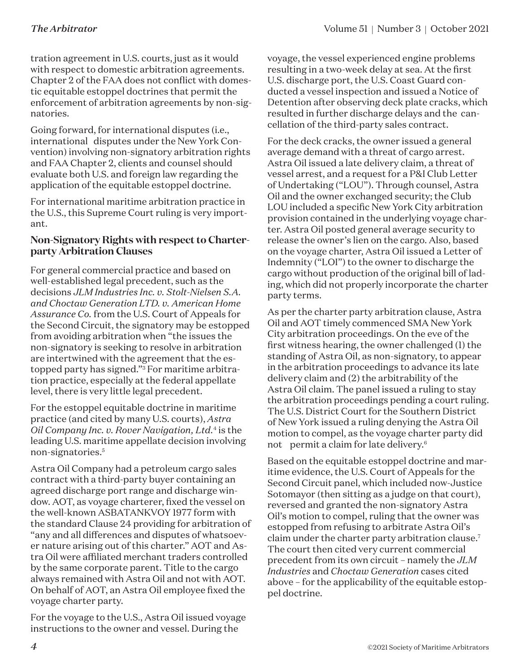tration agreement in U.S. courts, just as it would with respect to domestic arbitration agreements. Chapter 2 of the FAA does not conflict with domestic equitable estoppel doctrines that permit the enforcement of arbitration agreements by non-signatories.

Going forward, for international disputes (i.e., international disputes under the New York Convention) involving non-signatory arbitration rights and FAA Chapter 2, clients and counsel should evaluate both U.S. and foreign law regarding the application of the equitable estoppel doctrine.

For international maritime arbitration practice in the U.S., this Supreme Court ruling is very important.

#### **Non-Signatory Rights with respect to Charterparty Arbitration Clauses**

For general commercial practice and based on well-established legal precedent, such as the decisions *JLM Industries Inc. v. Stolt-Nielsen S.A. and Choctaw Generation LTD. v. American Home Assurance Co.* from the U.S. Court of Appeals for the Second Circuit, the signatory may be estopped from avoiding arbitration when "the issues the non-signatory is seeking to resolve in arbitration are intertwined with the agreement that the estopped party has signed."3 For maritime arbitration practice, especially at the federal appellate level, there is very little legal precedent.

For the estoppel equitable doctrine in maritime practice (and cited by many U.S. courts), *Astra Oil Company Inc. v. Rover Navigation, Ltd.*4 is the leading U.S. maritime appellate decision involving non-signatories.5

Astra Oil Company had a petroleum cargo sales contract with a third-party buyer containing an agreed discharge port range and discharge window. AOT, as voyage charterer, fixed the vessel on the well-known ASBATANKVOY 1977 form with the standard Clause 24 providing for arbitration of "any and all differences and disputes of whatsoever nature arising out of this charter." AOT and Astra Oil were affiliated merchant traders controlled by the same corporate parent. Title to the cargo always remained with Astra Oil and not with AOT. On behalf of AOT, an Astra Oil employee fixed the voyage charter party.

For the voyage to the U.S., Astra Oil issued voyage instructions to the owner and vessel. During the

voyage, the vessel experienced engine problems resulting in a two-week delay at sea. At the first U.S. discharge port, the U.S. Coast Guard conducted a vessel inspection and issued a Notice of Detention after observing deck plate cracks, which resulted in further discharge delays and the cancellation of the third-party sales contract.

For the deck cracks, the owner issued a general average demand with a threat of cargo arrest. Astra Oil issued a late delivery claim, a threat of vessel arrest, and a request for a P&I Club Letter of Undertaking ("LOU"). Through counsel, Astra Oil and the owner exchanged security; the Club LOU included a specific New York City arbitration provision contained in the underlying voyage charter. Astra Oil posted general average security to release the owner's lien on the cargo. Also, based on the voyage charter, Astra Oil issued a Letter of Indemnity ("LOI") to the owner to discharge the cargo without production of the original bill of lading, which did not properly incorporate the charter party terms.

As per the charter party arbitration clause, Astra Oil and AOT timely commenced SMA New York City arbitration proceedings. On the eve of the first witness hearing, the owner challenged (1) the standing of Astra Oil, as non-signatory, to appear in the arbitration proceedings to advance its late delivery claim and (2) the arbitrability of the Astra Oil claim. The panel issued a ruling to stay the arbitration proceedings pending a court ruling. The U.S. District Court for the Southern District of New York issued a ruling denying the Astra Oil motion to compel, as the voyage charter party did not permit a claim for late delivery.6

Based on the equitable estoppel doctrine and maritime evidence, the U.S. Court of Appeals for the Second Circuit panel, which included now-Justice Sotomayor (then sitting as a judge on that court), reversed and granted the non-signatory Astra Oil's motion to compel, ruling that the owner was estopped from refusing to arbitrate Astra Oil's claim under the charter party arbitration clause.7 The court then cited very current commercial precedent from its own circuit – namely the *JLM Industries* and *Choctaw Generation* cases cited above – for the applicability of the equitable estoppel doctrine.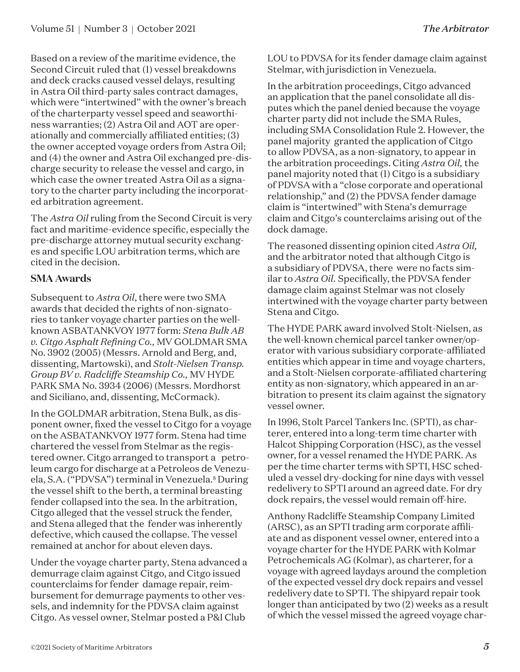Based on a review of the maritime evidence, the Second Circuit ruled that (1) vessel breakdowns and deck cracks caused vessel delays, resulting in Astra Oil third-party sales contract damages, which were "intertwined" with the owner's breach of the charterparty vessel speed and seaworthiness warranties; (2) Astra Oil and AOT are operationally and commercially affiliated entities; (3) the owner accepted voyage orders from Astra Oil; and (4) the owner and Astra Oil exchanged pre-discharge security to release the vessel and cargo, in which case the owner treated Astra Oil as a signatory to the charter party including the incorporated arbitration agreement.

The *Astra Oil* ruling from the Second Circuit is very fact and maritime-evidence specific, especially the pre-discharge attorney mutual security exchanges and specific LOU arbitration terms, which are cited in the decision.

#### **SMA Awards**

Subsequent to *Astra Oil*, there were two SMA awards that decided the rights of non-signatories to tanker voyage charter parties on the wellknown ASBATANKVOY 1977 form: *Stena Bulk AB v. Citgo Asphalt Refining Co.,* MV GOLDMAR SMA No. 3902 (2005) (Messrs. Arnold and Berg, and, dissenting, Martowski), and *Stolt-Nielsen Transp. Group BV v. Radcliffe Steamship Co.,* MV HYDE PARK SMA No. 3934 (2006) (Messrs. Mordhorst and Siciliano, and, dissenting, McCormack).

In the GOLDMAR arbitration, Stena Bulk, as disponent owner, fixed the vessel to Citgo for a voyage on the ASBATANKVOY 1977 form. Stena had time chartered the vessel from Stelmar as the registered owner. Citgo arranged to transport a petroleum cargo for discharge at a Petroleos de Venezuela, S.A. ("PDVSA") terminal in Venezuela.<sup>8</sup> During the vessel shift to the berth, a terminal breasting fender collapsed into the sea. In the arbitration, Citgo alleged that the vessel struck the fender, and Stena alleged that the fender was inherently defective, which caused the collapse. The vessel remained at anchor for about eleven days.

Under the voyage charter party, Stena advanced a demurrage claim against Citgo, and Citgo issued counterclaims for fender damage repair, reimbursement for demurrage payments to other vessels, and indemnity for the PDVSA claim against Citgo. As vessel owner, Stelmar posted a P&I Club

LOU to PDVSA for its fender damage claim against Stelmar, with jurisdiction in Venezuela.

In the arbitration proceedings, Citgo advanced an application that the panel consolidate all disputes which the panel denied because the voyage charter party did not include the SMA Rules, including SMA Consolidation Rule 2. However, the panel majority granted the application of Citgo to allow PDVSA, as a non-signatory, to appear in the arbitration proceedings. Citing *Astra Oil,* the panel majority noted that (1) Citgo is a subsidiary of PDVSA with a "close corporate and operational relationship," and (2) the PDVSA fender damage claim is "intertwined" with Stena's demurrage claim and Citgo's counterclaims arising out of the dock damage.

The reasoned dissenting opinion cited *Astra Oil,*  and the arbitrator noted that although Citgo is a subsidiary of PDVSA, there were no facts similar to *Astra Oil.* Specifically, the PDVSA fender damage claim against Stelmar was not closely intertwined with the voyage charter party between Stena and Citgo.

The HYDE PARK award involved Stolt-Nielsen, as the well-known chemical parcel tanker owner/operator with various subsidiary corporate-affiliated entities which appear in time and voyage charters, and a Stolt-Nielsen corporate-affiliated chartering entity as non-signatory, which appeared in an arbitration to present its claim against the signatory vessel owner.

In 1996, Stolt Parcel Tankers Inc. (SPTI), as charterer, entered into a long-term time charter with Halcot Shipping Corporation (HSC), as the vessel owner, for a vessel renamed the HYDE PARK. As per the time charter terms with SPTI, HSC scheduled a vessel dry-docking for nine days with vessel redelivery to SPTI around an agreed date. For dry dock repairs, the vessel would remain off-hire.

Anthony Radcliffe Steamship Company Limited (ARSC), as an SPTI trading arm corporate affiliate and as disponent vessel owner, entered into a voyage charter for the HYDE PARK with Kolmar Petrochemicals AG (Kolmar), as charterer, for a voyage with agreed laydays around the completion of the expected vessel dry dock repairs and vessel redelivery date to SPTI. The shipyard repair took longer than anticipated by two (2) weeks as a result of which the vessel missed the agreed voyage char-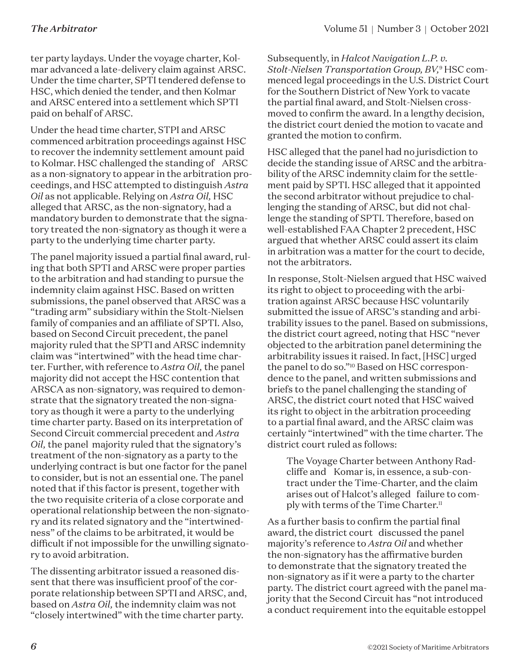ter party laydays. Under the voyage charter, Kolmar advanced a late-delivery claim against ARSC. Under the time charter, SPTI tendered defense to HSC, which denied the tender, and then Kolmar and ARSC entered into a settlement which SPTI paid on behalf of ARSC.

Under the head time charter, STPI and ARSC commenced arbitration proceedings against HSC to recover the indemnity settlement amount paid to Kolmar. HSC challenged the standing of ARSC as a non-signatory to appear in the arbitration proceedings, and HSC attempted to distinguish *Astra Oil* as not applicable. Relying on *Astra Oil,* HSC alleged that ARSC, as the non-signatory, had a mandatory burden to demonstrate that the signatory treated the non-signatory as though it were a party to the underlying time charter party.

The panel majority issued a partial final award, ruling that both SPTI and ARSC were proper parties to the arbitration and had standing to pursue the indemnity claim against HSC. Based on written submissions, the panel observed that ARSC was a "trading arm" subsidiary within the Stolt-Nielsen family of companies and an affiliate of SPTI. Also, based on Second Circuit precedent, the panel majority ruled that the SPTI and ARSC indemnity claim was "intertwined" with the head time charter. Further, with reference to *Astra Oil,* the panel majority did not accept the HSC contention that ARSCA as non-signatory, was required to demonstrate that the signatory treated the non-signatory as though it were a party to the underlying time charter party. Based on its interpretation of Second Circuit commercial precedent and *Astra Oil,* the panel majority ruled that the signatory's treatment of the non-signatory as a party to the underlying contract is but one factor for the panel to consider, but is not an essential one. The panel noted that if this factor is present, together with the two requisite criteria of a close corporate and operational relationship between the non-signatory and its related signatory and the "intertwinedness" of the claims to be arbitrated, it would be difficult if not impossible for the unwilling signatory to avoid arbitration.

The dissenting arbitrator issued a reasoned dissent that there was insufficient proof of the corporate relationship between SPTI and ARSC, and, based on *Astra Oil,* the indemnity claim was not "closely intertwined" with the time charter party.

Subsequently, in *Halcot Navigation L.P. v. Stolt-Nielsen Transportation Group, BV,*<sup>9</sup> HSC commenced legal proceedings in the U.S. District Court for the Southern District of New York to vacate the partial final award, and Stolt-Nielsen crossmoved to confirm the award. In a lengthy decision, the district court denied the motion to vacate and granted the motion to confirm.

HSC alleged that the panel had no jurisdiction to decide the standing issue of ARSC and the arbitrability of the ARSC indemnity claim for the settlement paid by SPTI. HSC alleged that it appointed the second arbitrator without prejudice to challenging the standing of ARSC, but did not challenge the standing of SPTI. Therefore, based on well-established FAA Chapter 2 precedent, HSC argued that whether ARSC could assert its claim in arbitration was a matter for the court to decide, not the arbitrators.

In response, Stolt-Nielsen argued that HSC waived its right to object to proceeding with the arbitration against ARSC because HSC voluntarily submitted the issue of ARSC's standing and arbitrability issues to the panel. Based on submissions, the district court agreed, noting that HSC "never objected to the arbitration panel determining the arbitrability issues it raised. In fact, [HSC] urged the panel to do so."10 Based on HSC correspondence to the panel, and written submissions and briefs to the panel challenging the standing of ARSC, the district court noted that HSC waived its right to object in the arbitration proceeding to a partial final award, and the ARSC claim was certainly "intertwined" with the time charter. The district court ruled as follows:

The Voyage Charter between Anthony Radcliffe and Komar is, in essence, a sub-contract under the Time-Charter, and the claim arises out of Halcot's alleged failure to comply with terms of the Time Charter.<sup>11</sup>

As a further basis to confirm the partial final award, the district court discussed the panel majority's reference to *Astra Oil* and whether the non-signatory has the affirmative burden to demonstrate that the signatory treated the non-signatory as if it were a party to the charter party. The district court agreed with the panel majority that the Second Circuit has "not introduced a conduct requirement into the equitable estoppel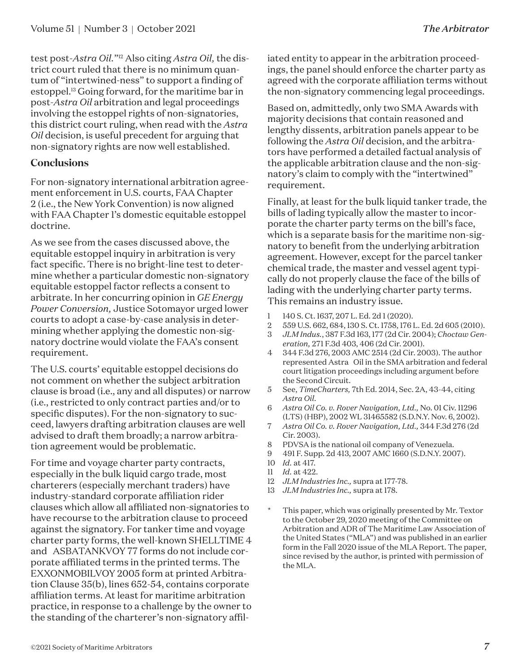test post-*Astra Oil.*"12 Also citing *Astra Oil,* the district court ruled that there is no minimum quantum of "intertwined-ness" to support a finding of estoppel.13 Going forward, for the maritime bar in post-*Astra Oil* arbitration and legal proceedings involving the estoppel rights of non-signatories, this district court ruling, when read with the *Astra Oil* decision, is useful precedent for arguing that non-signatory rights are now well established.

#### **Conclusions**

For non-signatory international arbitration agreement enforcement in U.S. courts, FAA Chapter 2 (i.e., the New York Convention) is now aligned with FAA Chapter 1's domestic equitable estoppel doctrine.

As we see from the cases discussed above, the equitable estoppel inquiry in arbitration is very fact specific. There is no bright-line test to determine whether a particular domestic non-signatory equitable estoppel factor reflects a consent to arbitrate. In her concurring opinion in *GE Energy Power Conversion,* Justice Sotomayor urged lower courts to adopt a case-by-case analysis in determining whether applying the domestic non-signatory doctrine would violate the FAA's consent requirement.

The U.S. courts' equitable estoppel decisions do not comment on whether the subject arbitration clause is broad (i.e., any and all disputes) or narrow (i.e., restricted to only contract parties and/or to specific disputes). For the non-signatory to succeed, lawyers drafting arbitration clauses are well advised to draft them broadly; a narrow arbitration agreement would be problematic.

For time and voyage charter party contracts, especially in the bulk liquid cargo trade, most charterers (especially merchant traders) have industry-standard corporate affiliation rider clauses which allow all affiliated non-signatories to have recourse to the arbitration clause to proceed against the signatory. For tanker time and voyage charter party forms, the well-known SHELLTIME 4 and ASBATANKVOY 77 forms do not include corporate affiliated terms in the printed terms. The EXXONMOBILVOY 2005 form at printed Arbitration Clause 35(b), lines 652-54, contains corporate affiliation terms. At least for maritime arbitration practice, in response to a challenge by the owner to the standing of the charterer's non-signatory affiliated entity to appear in the arbitration proceedings, the panel should enforce the charter party as agreed with the corporate affiliation terms without the non-signatory commencing legal proceedings.

Based on, admittedly, only two SMA Awards with majority decisions that contain reasoned and lengthy dissents, arbitration panels appear to be following the *Astra Oil* decision, and the arbitrators have performed a detailed factual analysis of the applicable arbitration clause and the non-signatory's claim to comply with the "intertwined" requirement.

Finally, at least for the bulk liquid tanker trade, the bills of lading typically allow the master to incorporate the charter party terms on the bill's face, which is a separate basis for the maritime non-signatory to benefit from the underlying arbitration agreement. However, except for the parcel tanker chemical trade, the master and vessel agent typically do not properly clause the face of the bills of lading with the underlying charter party terms. This remains an industry issue.

- 1 140 S. Ct. 1637, 207 L. Ed. 2d 1 (2020).
- 2 559 U.S. 662, 684, 130 S. Ct. 1758, 176 L. Ed. 2d 605 (2010).
- 3 *JLM Indus.*, 387 F.3d 163, 177 (2d Cir. 2004); *Choctaw Generation,* 271 F.3d 403, 406 (2d Cir. 2001).
- 4 344 F.3d 276, 2003 AMC 2514 (2d Cir. 2003). The author represented Astra Oil in the SMA arbitration and federal court litigation proceedings including argument before the Second Circuit.
- 5 See, *TimeCharters,* 7th Ed. 2014, Sec. 2A, 43-44, citing *Astra Oil.*
- 6 *Astra Oil Co. v. Rover Navigation, Ltd.,* No. 01 Civ. 11296 (LTS) (HBP), 2002 WL 31465582 (S.D.N.Y. Nov. 6, 2002).
- 7 *Astra Oil Co. v. Rover Navigation, Ltd.,* 344 F.3d 276 (2d Cir. 2003).
- 8 PDVSA is the national oil company of Venezuela.
- 9 491 F. Supp. 2d 413, 2007 AMC 1660 (S.D.N.Y. 2007).
- 10 *Id.* at 417.
- 11 *Id.* at 422.
- 12 *JLM Industries Inc.,* supra at 177-78.
- 13 *JLM Industries Inc.,* supra at 178.
- \* This paper, which was originally presented by Mr. Textor to the October 29, 2020 meeting of the Committee on Arbitration and ADR of The Maritime Law Association of the United States ("MLA") and was published in an earlier form in the Fall 2020 issue of the MLA Report. The paper, since revised by the author, is printed with permission of the MLA.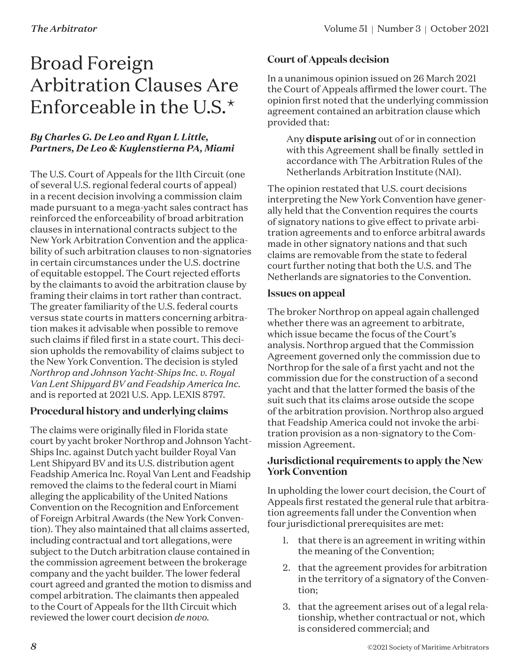### Broad Foreign Arbitration Clauses Are Enforceable in the U.S.\*

#### *By Charles G. De Leo and Ryan L Little, Partners, De Leo & Kuylenstierna PA, Miami*

The U.S. Court of Appeals for the 11th Circuit (one of several U.S. regional federal courts of appeal) in a recent decision involving a commission claim made pursuant to a mega-yacht sales contract has reinforced the enforceability of broad arbitration clauses in international contracts subject to the New York Arbitration Convention and the applicability of such arbitration clauses to non-signatories in certain circumstances under the U.S. doctrine of equitable estoppel. The Court rejected efforts by the claimants to avoid the arbitration clause by framing their claims in tort rather than contract. The greater familiarity of the U.S. federal courts versus state courts in matters concerning arbitration makes it advisable when possible to remove such claims if filed first in a state court. This decision upholds the removability of claims subject to the New York Convention. The decision is styled *Northrop and Johnson Yacht-Ships Inc. v. Royal Van Lent Shipyard BV and Feadship America Inc.*  and is reported at 2021 U.S. App. LEXIS 8797.

#### **Procedural history and underlying claims**

The claims were originally filed in Florida state court by yacht broker Northrop and Johnson Yacht-Ships Inc. against Dutch yacht builder Royal Van Lent Shipyard BV and its U.S. distribution agent Feadship America Inc. Royal Van Lent and Feadship removed the claims to the federal court in Miami alleging the applicability of the United Nations Convention on the Recognition and Enforcement of Foreign Arbitral Awards (the New York Convention). They also maintained that all claims asserted, including contractual and tort allegations, were subject to the Dutch arbitration clause contained in the commission agreement between the brokerage company and the yacht builder. The lower federal court agreed and granted the motion to dismiss and compel arbitration. The claimants then appealed to the Court of Appeals for the 11th Circuit which reviewed the lower court decision *de novo.*

#### **Court of Appeals decision**

In a unanimous opinion issued on 26 March 2021 the Court of Appeals affirmed the lower court. The opinion first noted that the underlying commission agreement contained an arbitration clause which provided that:

Any **dispute arising** out of or in connection with this Agreement shall be finally settled in accordance with The Arbitration Rules of the Netherlands Arbitration Institute (NAI).

The opinion restated that U.S. court decisions interpreting the New York Convention have generally held that the Convention requires the courts of signatory nations to give effect to private arbitration agreements and to enforce arbitral awards made in other signatory nations and that such claims are removable from the state to federal court further noting that both the U.S. and The Netherlands are signatories to the Convention.

#### **Issues on appeal**

The broker Northrop on appeal again challenged whether there was an agreement to arbitrate, which issue became the focus of the Court's analysis. Northrop argued that the Commission Agreement governed only the commission due to Northrop for the sale of a first yacht and not the commission due for the construction of a second yacht and that the latter formed the basis of the suit such that its claims arose outside the scope of the arbitration provision. Northrop also argued that Feadship America could not invoke the arbitration provision as a non-signatory to the Commission Agreement.

#### **Jurisdictional requirements to apply the New York Convention**

In upholding the lower court decision, the Court of Appeals first restated the general rule that arbitration agreements fall under the Convention when four jurisdictional prerequisites are met:

- 1. that there is an agreement in writing within the meaning of the Convention;
- 2. that the agreement provides for arbitration in the territory of a signatory of the Convention;
- 3. that the agreement arises out of a legal relationship, whether contractual or not, which is considered commercial; and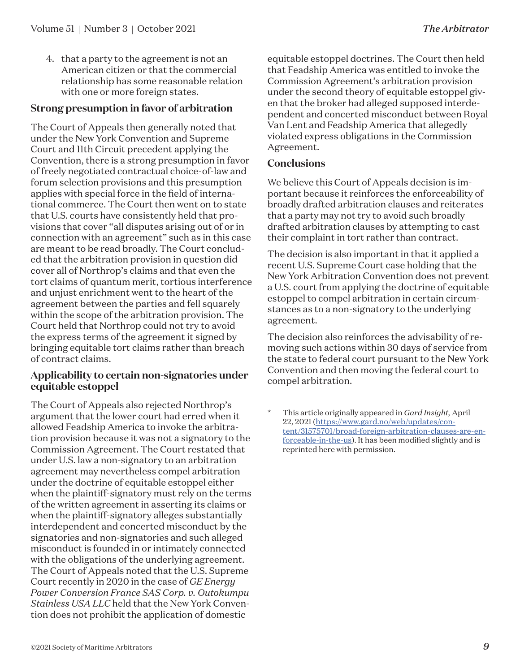4. that a party to the agreement is not an American citizen or that the commercial relationship has some reasonable relation with one or more foreign states.

#### **Strong presumption in favor of arbitration**

The Court of Appeals then generally noted that under the New York Convention and Supreme Court and 11th Circuit precedent applying the Convention, there is a strong presumption in favor of freely negotiated contractual choice-of-law and forum selection provisions and this presumption applies with special force in the field of international commerce. The Court then went on to state that U.S. courts have consistently held that provisions that cover "all disputes arising out of or in connection with an agreement" such as in this case are meant to be read broadly. The Court concluded that the arbitration provision in question did cover all of Northrop's claims and that even the tort claims of quantum merit, tortious interference and unjust enrichment went to the heart of the agreement between the parties and fell squarely within the scope of the arbitration provision. The Court held that Northrop could not try to avoid the express terms of the agreement it signed by bringing equitable tort claims rather than breach of contract claims.

#### **Applicability to certain non-signatories under equitable estoppel**

The Court of Appeals also rejected Northrop's argument that the lower court had erred when it allowed Feadship America to invoke the arbitration provision because it was not a signatory to the Commission Agreement. The Court restated that under U.S. law a non-signatory to an arbitration agreement may nevertheless compel arbitration under the doctrine of equitable estoppel either when the plaintiff-signatory must rely on the terms of the written agreement in asserting its claims or when the plaintiff-signatory alleges substantially interdependent and concerted misconduct by the signatories and non-signatories and such alleged misconduct is founded in or intimately connected with the obligations of the underlying agreement. The Court of Appeals noted that the U.S. Supreme Court recently in 2020 in the case of *GE Energy Power Conversion France SAS Corp. v. Outokumpu Stainless USA LLC* held that the New York Convention does not prohibit the application of domestic

equitable estoppel doctrines. The Court then held that Feadship America was entitled to invoke the Commission Agreement's arbitration provision under the second theory of equitable estoppel given that the broker had alleged supposed interdependent and concerted misconduct between Royal Van Lent and Feadship America that allegedly violated express obligations in the Commission Agreement.

#### **Conclusions**

We believe this Court of Appeals decision is important because it reinforces the enforceability of broadly drafted arbitration clauses and reiterates that a party may not try to avoid such broadly drafted arbitration clauses by attempting to cast their complaint in tort rather than contract.

The decision is also important in that it applied a recent U.S. Supreme Court case holding that the New York Arbitration Convention does not prevent a U.S. court from applying the doctrine of equitable estoppel to compel arbitration in certain circumstances as to a non-signatory to the underlying agreement.

The decision also reinforces the advisability of removing such actions within 30 days of service from the state to federal court pursuant to the New York Convention and then moving the federal court to compel arbitration.

\* This article originally appeared in *Gard Insight,* April 22, 2021 ([https://www.gard.no/web/updates/con](https://www.gard.no/web/updates/content/31575701/broad-foreign-arbitration-clauses-are-enforceable-i)[tent/31575701/broad-foreign-arbitration-clauses-are-en](https://www.gard.no/web/updates/content/31575701/broad-foreign-arbitration-clauses-are-enforceable-i)[forceable-in-the-us](https://www.gard.no/web/updates/content/31575701/broad-foreign-arbitration-clauses-are-enforceable-i)). It has been modified slightly and is reprinted here with permission.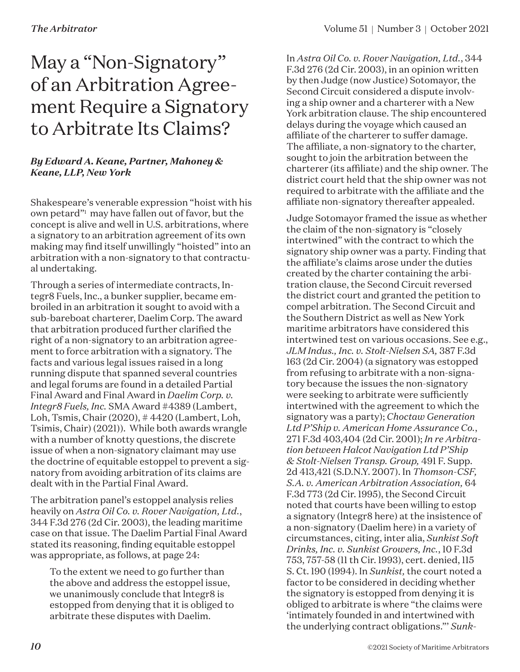### May a "Non-Signatory" of an Arbitration Agreement Require a Signatory to Arbitrate Its Claims?

#### *By Edward A. Keane, Partner, Mahoney & Keane, LLP, New York*

Shakespeare's venerable expression "hoist with his own petard"1 may have fallen out of favor, but the concept is alive and well in U.S. arbitrations, where a signatory to an arbitration agreement of its own making may find itself unwillingly "hoisted" into an arbitration with a non-signatory to that contractual undertaking.

Through a series of intermediate contracts, Integr8 Fuels, Inc., a bunker supplier, became embroiled in an arbitration it sought to avoid with a sub-bareboat charterer, Daelim Corp. The award that arbitration produced further clarified the right of a non-signatory to an arbitration agreement to force arbitration with a signatory. The facts and various legal issues raised in a long running dispute that spanned several countries and legal forums are found in a detailed Partial Final Award and Final Award in *Daelim Corp. v. Integr8 Fuels, Inc.* SMA Award #4389 (Lambert, Loh, Tsmis, Chair (2020), # 4420 (Lambert, Loh, Tsimis, Chair) (2021)). While both awards wrangle with a number of knotty questions, the discrete issue of when a non-signatory claimant may use the doctrine of equitable estoppel to prevent a signatory from avoiding arbitration of its claims are dealt with in the Partial Final Award.

The arbitration panel's estoppel analysis relies heavily on *Astra Oil Co. v. Rover Navigation, Ltd.*, 344 F.3d 276 (2d Cir. 2003), the leading maritime case on that issue. The Daelim Partial Final Award stated its reasoning, finding equitable estoppel was appropriate, as follows, at page 24:

To the extent we need to go further than the above and address the estoppel issue, we unanimously conclude that lntegr8 is estopped from denying that it is obliged to arbitrate these disputes with Daelim.

In *Astra Oil Co. v. Rover Navigation, Ltd.*, 344 F.3d 276 (2d Cir. 2003), in an opinion written by then Judge (now Justice) Sotomayor, the Second Circuit considered a dispute involving a ship owner and a charterer with a New York arbitration clause. The ship encountered delays during the voyage which caused an affiliate of the charterer to suffer damage. The affiliate, a non-signatory to the charter, sought to join the arbitration between the charterer (its affiliate) and the ship owner. The district court held that the ship owner was not required to arbitrate with the affiliate and the affiliate non-signatory thereafter appealed.

Judge Sotomayor framed the issue as whether the claim of the non-signatory is "closely intertwined" with the contract to which the signatory ship owner was a party. Finding that the affiliate's claims arose under the duties created by the charter containing the arbitration clause, the Second Circuit reversed the district court and granted the petition to compel arbitration. The Second Circuit and the Southern District as well as New York maritime arbitrators have considered this intertwined test on various occasions. See e.g., *JLM Indus., Inc. v. Stolt-Nielsen SA,* 387 F.3d 163 (2d Cir. 2004) (a signatory was estopped from refusing to arbitrate with a non-signatory because the issues the non-signatory were seeking to arbitrate were sufficiently intertwined with the agreement to which the signatory was a party); *Choctaw Generation Ltd P'Ship v. American Home Assurance Co.*, 271 F.3d 403,404 (2d Cir. 2001); *In re Arbitration between Halcot Navigation Ltd P'Ship & Stolt-Nielsen Transp. Group,* 491 F. Supp. 2d 413,421 (S.D.N.Y. 2007). In *Thomson-CSF, S.A. v. American Arbitration Association,* 64 F.3d 773 (2d Cir. 1995), the Second Circuit noted that courts have been willing to estop a signatory (lntegr8 here) at the insistence of a non-signatory (Daelim here) in a variety of circumstances, citing, inter alia, *Sunkist Soft Drinks, Inc. v. Sunkist Growers, Inc.*, 10 F.3d 753, 757-58 (11 th Cir. 1993), cert. denied, 115 S. Ct. 190 (1994). In *Sunkist,* the court noted a factor to be considered in deciding whether the signatory is estopped from denying it is obliged to arbitrate is where "the claims were 'intimately founded in and intertwined with the underlying contract obligations."' *Sunk-*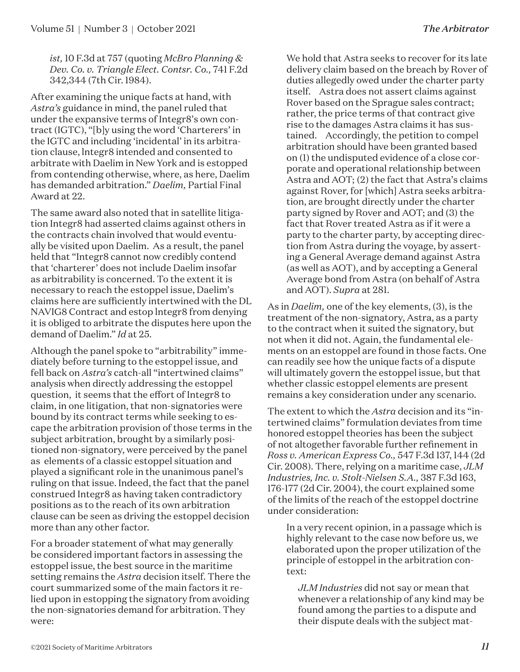*ist,* 10 F.3d at 757 (quoting *McBro Planning & Dev. Co. v. Triangle Elect. Contsr. Co.,* 741 F.2d 342,344 (7th Cir. 1984).

After examining the unique facts at hand, with *Astra's* guidance in mind, the panel ruled that under the expansive terms of Integr8's own contract (IGTC), "[b]y using the word 'Charterers' in the IGTC and including 'incidental' in its arbitration clause, lntegr8 intended and consented to arbitrate with Daelim in New York and is estopped from contending otherwise, where, as here, Daelim has demanded arbitration." *Daelim,* Partial Final Award at 22.

The same award also noted that in satellite litigation Integr8 had asserted claims against others in the contracts chain involved that would eventually be visited upon Daelim. As a result, the panel held that "Integr8 cannot now credibly contend that 'charterer' does not include Daelim insofar as arbitrability is concerned. To the extent it is necessary to reach the estoppel issue, Daelim's claims here are sufficiently intertwined with the DL NAVIG8 Contract and estop lntegr8 from denying it is obliged to arbitrate the disputes here upon the demand of Daelim." *Id* at 25.

Although the panel spoke to "arbitrability" immediately before turning to the estoppel issue, and fell back on *Astra's* catch-all "intertwined claims" analysis when directly addressing the estoppel question, it seems that the effort of Integr8 to claim, in one litigation, that non-signatories were bound by its contract terms while seeking to escape the arbitration provision of those terms in the subject arbitration, brought by a similarly positioned non-signatory, were perceived by the panel as elements of a classic estoppel situation and played a significant role in the unanimous panel's ruling on that issue. Indeed, the fact that the panel construed Integr8 as having taken contradictory positions as to the reach of its own arbitration clause can be seen as driving the estoppel decision more than any other factor.

For a broader statement of what may generally be considered important factors in assessing the estoppel issue, the best source in the maritime setting remains the *Astra* decision itself. There the court summarized some of the main factors it relied upon in estopping the signatory from avoiding the non-signatories demand for arbitration. They were:

We hold that Astra seeks to recover for its late delivery claim based on the breach by Rover of duties allegedly owed under the charter party itself. Astra does not assert claims against Rover based on the Sprague sales contract; rather, the price terms of that contract give rise to the damages Astra claims it has sustained. Accordingly, the petition to compel arbitration should have been granted based on (1) the undisputed evidence of a close corporate and operational relationship between Astra and AOT; (2) the fact that Astra's claims against Rover, for [which] Astra seeks arbitration, are brought directly under the charter party signed by Rover and AOT;  and (3) the fact that Rover treated Astra as if it were a party to the charter party, by accepting direction from Astra during the voyage, by asserting a General Average demand against Astra (as well as AOT), and by accepting a General Average bond from Astra (on behalf of Astra and AOT). *Supra* at 281.

As in *Daelim,* one of the key elements, (3), is the treatment of the non-signatory, Astra, as a party to the contract when it suited the signatory, but not when it did not. Again, the fundamental elements on an estoppel are found in those facts. One can readily see how the unique facts of a dispute will ultimately govern the estoppel issue, but that whether classic estoppel elements are present remains a key consideration under any scenario.

The extent to which the *Astra* decision and its "intertwined claims" formulation deviates from time honored estoppel theories has been the subject of not altogether favorable further refinement in *Ross v. American Express Co.,* 547 F.3d 137, 144 (2d Cir. 2008). There, relying on a maritime case, *JLM Industries, Inc. v. Stolt-Nielsen S.A.,* 387 F.3d 163, 176-177 (2d Cir. 2004), the court explained some of the limits of the reach of the estoppel doctrine under consideration:

In a very recent opinion, in a passage which is highly relevant to the case now before us, we elaborated upon the proper utilization of the principle of estoppel in the arbitration context:

*JLM Industries* did not say or mean that whenever a relationship of any kind may be found among the parties to a dispute and their dispute deals with the subject mat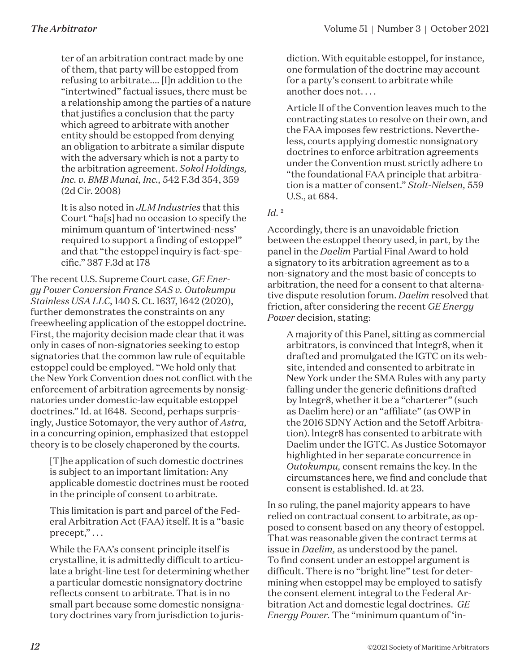ter of an arbitration contract made by one of them, that party will be estopped from refusing to arbitrate.... [I]n addition to the "intertwined" factual issues, there must be a relationship among the parties of a nature that justifies a conclusion that the party which agreed to arbitrate with another entity should be estopped from denying an obligation to arbitrate a similar dispute with the adversary which is not a party to the arbitration agreement. *Sokol Holdings, Inc. v. BMB Munai, Inc.,* 542 F.3d 354, 359 (2d Cir. 2008)

It is also noted in *JLM Industries* that this Court "ha[s] had no occasion to specify the minimum quantum of 'intertwined-ness' required to support a finding of estoppel" and that "the estoppel inquiry is fact-specific." 387 F.3d at 178

The recent U.S. Supreme Court case, *GE Energy Power Conversion France SAS v. Outokumpu Stainless USA LLC,* 140 S. Ct. 1637, 1642 (2020), further demonstrates the constraints on any freewheeling application of the estoppel doctrine. First, the majority decision made clear that it was only in cases of non-signatories seeking to estop signatories that the common law rule of equitable estoppel could be employed. "We hold only that the New York Convention does not conflict with the enforcement of arbitration agreements by nonsignatories under domestic-law equitable estoppel doctrines." Id. at 1648. Second, perhaps surprisingly, Justice Sotomayor, the very author of *Astra,* in a concurring opinion, emphasized that estoppel theory is to be closely chaperoned by the courts.

[T]he application of such domestic doctrines is subject to an important limitation: Any applicable domestic doctrines must be rooted in the principle of consent to arbitrate.

This limitation is part and parcel of the Federal Arbitration Act (FAA) itself. It is a "basic precept," . . .

While the FAA's consent principle itself is crystalline, it is admittedly difficult to articulate a bright-line test for determining whether a particular domestic nonsignatory doctrine reflects consent to arbitrate. That is in no small part because some domestic nonsignatory doctrines vary from jurisdiction to jurisdiction. With equitable estoppel, for instance, one formulation of the doctrine may account for a party's consent to arbitrate while another does not. . . .

Article II of the Convention leaves much to the contracting states to resolve on their own, and the FAA imposes few restrictions. Nevertheless, courts applying domestic nonsignatory doctrines to enforce arbitration agreements under the Convention must strictly adhere to "the foundational FAA principle that arbitration is a matter of consent." *Stolt-Nielsen,* 559 U.S., at 684.

#### $Id.$ <sup>2</sup>

Accordingly, there is an unavoidable friction between the estoppel theory used, in part, by the panel in the *Daelim* Partial Final Award to hold a signatory to its arbitration agreement as to a non-signatory and the most basic of concepts to arbitration, the need for a consent to that alternative dispute resolution forum. *Daelim* resolved that friction, after considering the recent *GE Energy Power* decision, stating:

A majority of this Panel, sitting as commercial arbitrators, is convinced that lntegr8, when it drafted and promulgated the IGTC on its website, intended and consented to arbitrate in New York under the SMA Rules with any party falling under the generic definitions drafted by lntegr8, whether it be a "charterer" (such as Daelim here) or an "affiliate" (as OWP in the 2016 SDNY Action and the Setoff Arbitration). lntegr8 has consented to arbitrate with Daelim under the IGTC. As Justice Sotomayor highlighted in her separate concurrence in *Outokumpu,* consent remains the key. In the circumstances here, we find and conclude that consent is established. Id. at 23.

In so ruling, the panel majority appears to have relied on contractual consent to arbitrate, as opposed to consent based on any theory of estoppel. That was reasonable given the contract terms at issue in *Daelim,* as understood by the panel. To find consent under an estoppel argument is difficult. There is no "bright line" test for determining when estoppel may be employed to satisfy the consent element integral to the Federal Arbitration Act and domestic legal doctrines. *GE Energy Power.* The "minimum quantum of 'in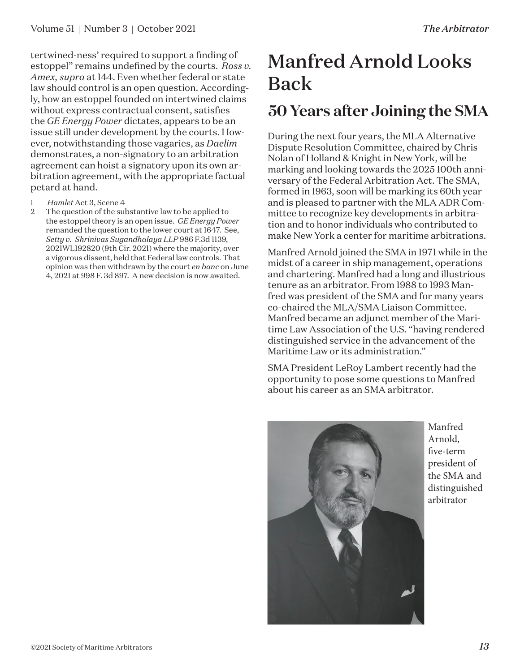tertwined-ness' required to support a finding of estoppel" remains undefined by the courts. *Ross v. Amex, supra* at 144. Even whether federal or state law should control is an open question. Accordingly, how an estoppel founded on intertwined claims without express contractual consent, satisfies the *GE Energy Power* dictates, appears to be an issue still under development by the courts. However, notwithstanding those vagaries, as *Daelim* demonstrates, a non-signatory to an arbitration agreement can hoist a signatory upon its own arbitration agreement, with the appropriate factual petard at hand.

- 1 *Hamlet* Act 3, Scene 4
- 2 The question of the substantive law to be applied to the estoppel theory is an open issue. *GE Energy Power* remanded the question to the lower court at 1647. See, *Setty v. Shrinivas Sugandhalaya LLP* 986 F.3d 1139, 2021WL192820 (9th Cir. 2021) where the majority, over a vigorous dissent, held that Federal law controls. That opinion was then withdrawn by the court *en banc* on June 4, 2021 at 998 F. 3d 897. A new decision is now awaited.

### Manfred Arnold Looks Back

### **50 Years after Joining the SMA**

During the next four years, the MLA Alternative Dispute Resolution Committee, chaired by Chris Nolan of Holland & Knight in New York, will be marking and looking towards the 2025 100th anniversary of the Federal Arbitration Act. The SMA, formed in 1963, soon will be marking its 60th year and is pleased to partner with the MLA ADR Committee to recognize key developments in arbitration and to honor individuals who contributed to make New York a center for maritime arbitrations.

Manfred Arnold joined the SMA in 1971 while in the midst of a career in ship management, operations and chartering. Manfred had a long and illustrious tenure as an arbitrator. From 1988 to 1993 Manfred was president of the SMA and for many years co-chaired the MLA/SMA Liaison Committee. Manfred became an adjunct member of the Maritime Law Association of the U.S. "having rendered distinguished service in the advancement of the Maritime Law or its administration."

SMA President LeRoy Lambert recently had the opportunity to pose some questions to Manfred about his career as an SMA arbitrator.



Manfred Arnold, five-term president of the SMA and distinguished arbitrator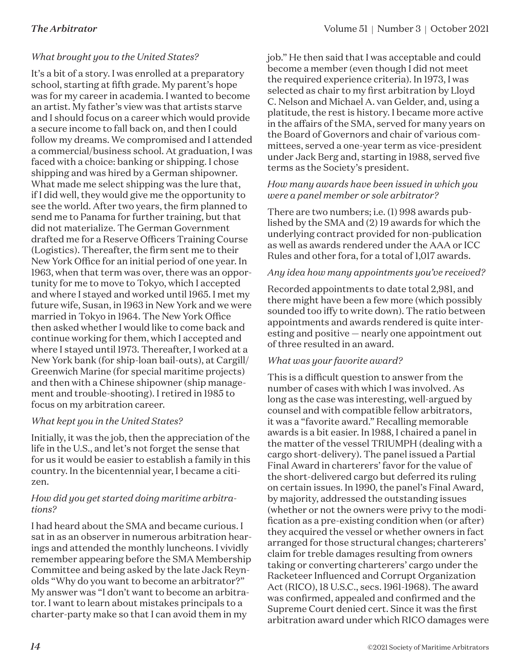#### *What brought you to the United States?*

It's a bit of a story. I was enrolled at a preparatory school, starting at fifth grade. My parent's hope was for my career in academia. I wanted to become an artist. My father's view was that artists starve and I should focus on a career which would provide a secure income to fall back on, and then I could follow my dreams. We compromised and I attended a commercial/business school. At graduation, I was faced with a choice: banking or shipping. I chose shipping and was hired by a German shipowner. What made me select shipping was the lure that, if I did well, they would give me the opportunity to see the world. After two years, the firm planned to send me to Panama for further training, but that did not materialize. The German Government drafted me for a Reserve Officers Training Course (Logistics). Thereafter, the firm sent me to their New York Office for an initial period of one year. In 1963, when that term was over, there was an opportunity for me to move to Tokyo, which I accepted and where I stayed and worked until 1965. I met my future wife, Susan, in 1963 in New York and we were married in Tokyo in 1964. The New York Office then asked whether I would like to come back and continue working for them, which I accepted and where I stayed until 1973. Thereafter, I worked at a New York bank (for ship-loan bail-outs), at Cargill/ Greenwich Marine (for special maritime projects) and then with a Chinese shipowner (ship management and trouble-shooting). I retired in 1985 to focus on my arbitration career.

#### *What kept you in the United States?*

Initially, it was the job, then the appreciation of the life in the U.S., and let's not forget the sense that for us it would be easier to establish a family in this country. In the bicentennial year, I became a citizen.

#### *How did you get started doing maritime arbitrations?*

I had heard about the SMA and became curious. I sat in as an observer in numerous arbitration hearings and attended the monthly luncheons. I vividly remember appearing before the SMA Membership Committee and being asked by the late Jack Reynolds "Why do you want to become an arbitrator?" My answer was "I don't want to become an arbitrator. I want to learn about mistakes principals to a charter-party make so that I can avoid them in my

job." He then said that I was acceptable and could become a member (even though I did not meet the required experience criteria). In 1973, I was selected as chair to my first arbitration by Lloyd C. Nelson and Michael A. van Gelder, and, using a platitude, the rest is history. I became more active in the affairs of the SMA, served for many years on the Board of Governors and chair of various committees, served a one-year term as vice-president under Jack Berg and, starting in 1988, served five terms as the Society's president.

#### *How many awards have been issued in which you were a panel member or sole arbitrator?*

There are two numbers; i.e. (1) 998 awards published by the SMA and (2) 19 awards for which the underlying contract provided for non-publication as well as awards rendered under the AAA or ICC Rules and other fora, for a total of 1,017 awards.

#### *Any idea how many appointments you've received?*

Recorded appointments to date total 2,981, and there might have been a few more (which possibly sounded too iffy to write down). The ratio between appointments and awards rendered is quite interesting and positive — nearly one appointment out of three resulted in an award.

#### *What was your favorite award?*

This is a difficult question to answer from the number of cases with which I was involved. As long as the case was interesting, well-argued by counsel and with compatible fellow arbitrators, it was a "favorite award." Recalling memorable awards is a bit easier. In 1988, I chaired a panel in the matter of the vessel TRIUMPH (dealing with a cargo short-delivery). The panel issued a Partial Final Award in charterers' favor for the value of the short-delivered cargo but deferred its ruling on certain issues. In 1990, the panel's Final Award, by majority, addressed the outstanding issues (whether or not the owners were privy to the modification as a pre-existing condition when (or after) they acquired the vessel or whether owners in fact arranged for those structural changes; charterers' claim for treble damages resulting from owners taking or converting charterers' cargo under the Racketeer Influenced and Corrupt Organization Act (RICO), 18 U.S.C., secs. 1961-1968). The award was confirmed, appealed and confirmed and the Supreme Court denied cert. Since it was the first arbitration award under which RICO damages were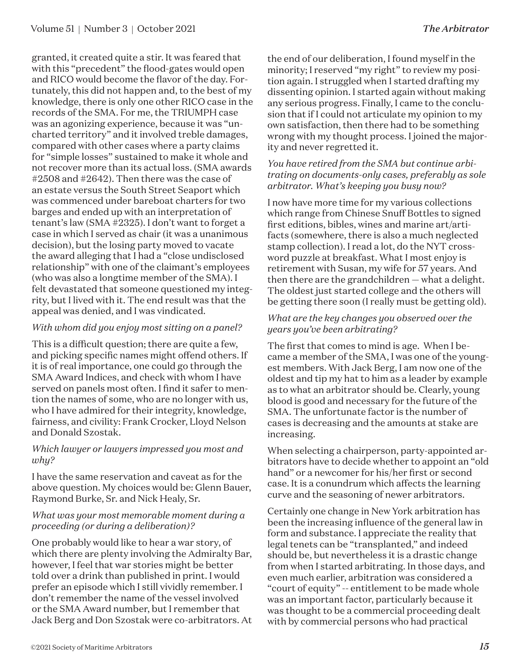granted, it created quite a stir. It was feared that with this "precedent" the flood-gates would open and RICO would become the flavor of the day. Fortunately, this did not happen and, to the best of my knowledge, there is only one other RICO case in the records of the SMA. For me, the TRIUMPH case was an agonizing experience, because it was "uncharted territory" and it involved treble damages, compared with other cases where a party claims for "simple losses" sustained to make it whole and not recover more than its actual loss. (SMA awards #2508 and #2642). Then there was the case of an estate versus the South Street Seaport which was commenced under bareboat charters for two barges and ended up with an interpretation of tenant's law (SMA #2325). I don't want to forget a case in which I served as chair (it was a unanimous decision), but the losing party moved to vacate the award alleging that I had a "close undisclosed relationship" with one of the claimant's employees (who was also a longtime member of the SMA). I felt devastated that someone questioned my integrity, but I lived with it. The end result was that the appeal was denied, and I was vindicated.

#### *With whom did you enjoy most sitting on a panel?*

This is a difficult question; there are quite a few, and picking specific names might offend others. If it is of real importance, one could go through the SMA Award Indices, and check with whom I have served on panels most often. I find it safer to mention the names of some, who are no longer with us, who I have admired for their integrity, knowledge, fairness, and civility: Frank Crocker, Lloyd Nelson and Donald Szostak.

#### *Which lawyer or lawyers impressed you most and why?*

I have the same reservation and caveat as for the above question. My choices would be: Glenn Bauer, Raymond Burke, Sr. and Nick Healy, Sr.

#### *What was your most memorable moment during a proceeding (or during a deliberation)?*

One probably would like to hear a war story, of which there are plenty involving the Admiralty Bar, however, I feel that war stories might be better told over a drink than published in print. I would prefer an episode which I still vividly remember. I don't remember the name of the vessel involved or the SMA Award number, but I remember that Jack Berg and Don Szostak were co-arbitrators. At the end of our deliberation, I found myself in the minority; I reserved "my right" to review my position again. I struggled when I started drafting my dissenting opinion. I started again without making any serious progress. Finally, I came to the conclusion that if I could not articulate my opinion to my own satisfaction, then there had to be something wrong with my thought process. I joined the majority and never regretted it.

#### *You have retired from the SMA but continue arbitrating on documents-only cases, preferably as sole arbitrator. What's keeping you busy now?*

I now have more time for my various collections which range from Chinese Snuff Bottles to signed first editions, bibles, wines and marine art/artifacts (somewhere, there is also a much neglected stamp collection). I read a lot, do the NYT crossword puzzle at breakfast. What I most enjoy is retirement with Susan, my wife for 57 years. And then there are the grandchildren — what a delight. The oldest just started college and the others will be getting there soon (I really must be getting old).

#### *What are the key changes you observed over the years you've been arbitrating?*

The first that comes to mind is age. When I became a member of the SMA, I was one of the youngest members. With Jack Berg, I am now one of the oldest and tip my hat to him as a leader by example as to what an arbitrator should be. Clearly, young blood is good and necessary for the future of the SMA. The unfortunate factor is the number of cases is decreasing and the amounts at stake are increasing.

When selecting a chairperson, party-appointed arbitrators have to decide whether to appoint an "old hand" or a newcomer for his/her first or second case. It is a conundrum which affects the learning curve and the seasoning of newer arbitrators.

Certainly one change in New York arbitration has been the increasing influence of the general law in form and substance. I appreciate the reality that legal tenets can be "transplanted," and indeed should be, but nevertheless it is a drastic change from when I started arbitrating. In those days, and even much earlier, arbitration was considered a "court of equity" -- entitlement to be made whole was an important factor, particularly because it was thought to be a commercial proceeding dealt with by commercial persons who had practical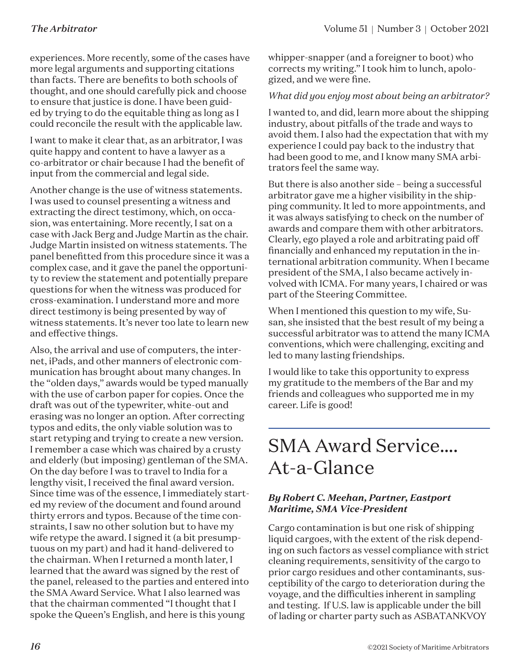experiences. More recently, some of the cases have more legal arguments and supporting citations than facts. There are benefits to both schools of thought, and one should carefully pick and choose to ensure that justice is done. I have been guided by trying to do the equitable thing as long as I could reconcile the result with the applicable law.

I want to make it clear that, as an arbitrator, I was quite happy and content to have a lawyer as a co-arbitrator or chair because I had the benefit of input from the commercial and legal side.

Another change is the use of witness statements. I was used to counsel presenting a witness and extracting the direct testimony, which, on occasion, was entertaining. More recently, I sat on a case with Jack Berg and Judge Martin as the chair. Judge Martin insisted on witness statements. The panel benefitted from this procedure since it was a complex case, and it gave the panel the opportunity to review the statement and potentially prepare questions for when the witness was produced for cross-examination. I understand more and more direct testimony is being presented by way of witness statements. It's never too late to learn new and effective things.

Also, the arrival and use of computers, the internet, iPads, and other manners of electronic communication has brought about many changes. In the "olden days," awards would be typed manually with the use of carbon paper for copies. Once the draft was out of the typewriter, white-out and erasing was no longer an option. After correcting typos and edits, the only viable solution was to start retyping and trying to create a new version. I remember a case which was chaired by a crusty and elderly (but imposing) gentleman of the SMA. On the day before I was to travel to India for a lengthy visit, I received the final award version. Since time was of the essence, I immediately started my review of the document and found around thirty errors and typos. Because of the time constraints, I saw no other solution but to have my wife retype the award. I signed it (a bit presumptuous on my part) and had it hand-delivered to the chairman. When I returned a month later, I learned that the award was signed by the rest of the panel, released to the parties and entered into the SMA Award Service. What I also learned was that the chairman commented "I thought that I spoke the Queen's English, and here is this young

whipper-snapper (and a foreigner to boot) who corrects my writing." I took him to lunch, apologized, and we were fine.

#### *What did you enjoy most about being an arbitrator?*

I wanted to, and did, learn more about the shipping industry, about pitfalls of the trade and ways to avoid them. I also had the expectation that with my experience I could pay back to the industry that had been good to me, and I know many SMA arbitrators feel the same way.

But there is also another side – being a successful arbitrator gave me a higher visibility in the shipping community. It led to more appointments, and it was always satisfying to check on the number of awards and compare them with other arbitrators. Clearly, ego played a role and arbitrating paid off financially and enhanced my reputation in the international arbitration community. When I became president of the SMA, I also became actively involved with ICMA. For many years, I chaired or was part of the Steering Committee.

When I mentioned this question to my wife, Susan, she insisted that the best result of my being a successful arbitrator was to attend the many ICMA conventions, which were challenging, exciting and led to many lasting friendships.

I would like to take this opportunity to express my gratitude to the members of the Bar and my friends and colleagues who supported me in my career. Life is good!

### SMA Award Service…. At-a-Glance

#### *By Robert C. Meehan, Partner, Eastport Maritime, SMA Vice-President*

Cargo contamination is but one risk of shipping liquid cargoes, with the extent of the risk depending on such factors as vessel compliance with strict cleaning requirements, sensitivity of the cargo to prior cargo residues and other contaminants, susceptibility of the cargo to deterioration during the voyage, and the difficulties inherent in sampling and testing. If U.S. law is applicable under the bill of lading or charter party such as ASBATANKVOY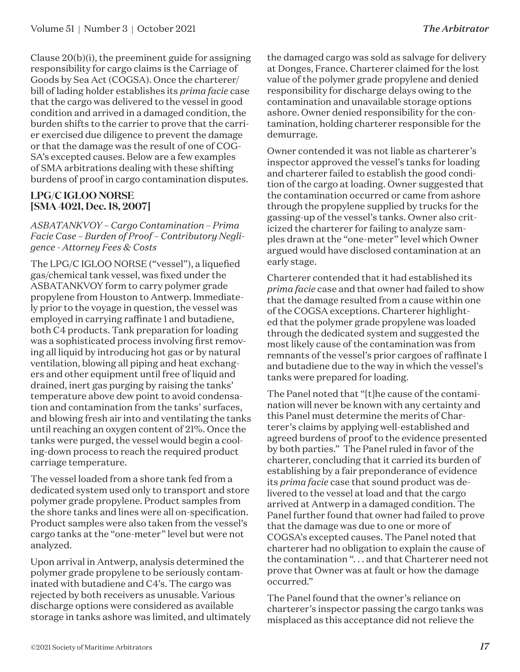Clause 20(b)(i), the preeminent guide for assigning responsibility for cargo claims is the Carriage of Goods by Sea Act (COGSA). Once the charterer/ bill of lading holder establishes its *prima facie* case that the cargo was delivered to the vessel in good condition and arrived in a damaged condition, the burden shifts to the carrier to prove that the carrier exercised due diligence to prevent the damage or that the damage was the result of one of COG-SA's excepted causes. Below are a few examples of SMA arbitrations dealing with these shifting burdens of proof in cargo contamination disputes.

#### **LPG/C IGLOO NORSE [SMA 4021, Dec. 18, 2007]**

*ASBATANKVOY – Cargo Contamination – Prima Facie Case – Burden of Proof – Contributory Negligence - Attorney Fees & Costs*

The LPG/C IGLOO NORSE ("vessel"), a liquefied gas/chemical tank vessel, was fixed under the ASBATANKVOY form to carry polymer grade propylene from Houston to Antwerp. Immediately prior to the voyage in question, the vessel was employed in carrying raffinate 1 and butadiene, both C4 products. Tank preparation for loading was a sophisticated process involving first removing all liquid by introducing hot gas or by natural ventilation, blowing all piping and heat exchangers and other equipment until free of liquid and drained, inert gas purging by raising the tanks' temperature above dew point to avoid condensation and contamination from the tanks' surfaces, and blowing fresh air into and ventilating the tanks until reaching an oxygen content of 21%. Once the tanks were purged, the vessel would begin a cooling-down process to reach the required product carriage temperature.

The vessel loaded from a shore tank fed from a dedicated system used only to transport and store polymer grade propylene. Product samples from the shore tanks and lines were all on-specification. Product samples were also taken from the vessel's cargo tanks at the "one-meter" level but were not analyzed.

Upon arrival in Antwerp, analysis determined the polymer grade propylene to be seriously contaminated with butadiene and C4's. The cargo was rejected by both receivers as unusable. Various discharge options were considered as available storage in tanks ashore was limited, and ultimately the damaged cargo was sold as salvage for delivery at Donges, France. Charterer claimed for the lost value of the polymer grade propylene and denied responsibility for discharge delays owing to the contamination and unavailable storage options ashore. Owner denied responsibility for the contamination, holding charterer responsible for the demurrage.

Owner contended it was not liable as charterer's inspector approved the vessel's tanks for loading and charterer failed to establish the good condition of the cargo at loading. Owner suggested that the contamination occurred or came from ashore through the propylene supplied by trucks for the gassing-up of the vessel's tanks. Owner also criticized the charterer for failing to analyze samples drawn at the "one-meter" level which Owner argued would have disclosed contamination at an early stage.

Charterer contended that it had established its *prima facie* case and that owner had failed to show that the damage resulted from a cause within one of the COGSA exceptions. Charterer highlighted that the polymer grade propylene was loaded through the dedicated system and suggested the most likely cause of the contamination was from remnants of the vessel's prior cargoes of raffinate 1 and butadiene due to the way in which the vessel's tanks were prepared for loading.

The Panel noted that "[t]he cause of the contamination will never be known with any certainty and this Panel must determine the merits of Charterer's claims by applying well-established and agreed burdens of proof to the evidence presented by both parties." The Panel ruled in favor of the charterer, concluding that it carried its burden of establishing by a fair preponderance of evidence its *prima facie* case that sound product was delivered to the vessel at load and that the cargo arrived at Antwerp in a damaged condition. The Panel further found that owner had failed to prove that the damage was due to one or more of COGSA's excepted causes. The Panel noted that charterer had no obligation to explain the cause of the contamination ". . . and that Charterer need not prove that Owner was at fault or how the damage occurred."

The Panel found that the owner's reliance on charterer's inspector passing the cargo tanks was misplaced as this acceptance did not relieve the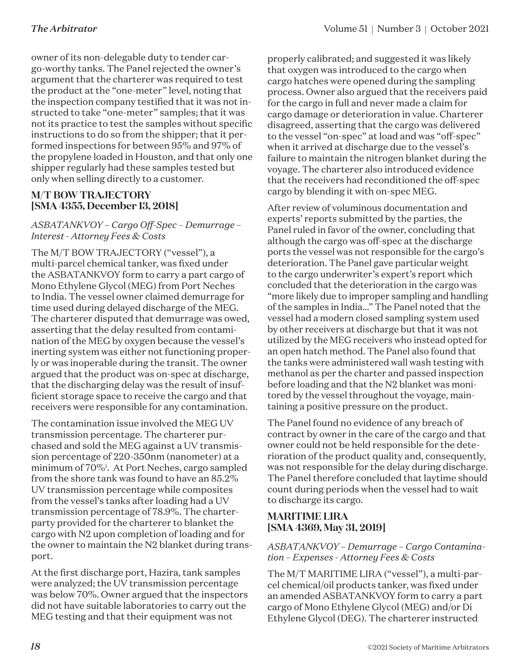owner of its non-delegable duty to tender cargo-worthy tanks. The Panel rejected the owner's argument that the charterer was required to test the product at the "one-meter" level, noting that the inspection company testified that it was not instructed to take "one-meter" samples; that it was not its practice to test the samples without specific instructions to do so from the shipper; that it performed inspections for between 95% and 97% of the propylene loaded in Houston, and that only one shipper regularly had these samples tested but only when selling directly to a customer.

#### **M/T BOW TRAJECTORY [SMA 4355, December 13, 2018]**

#### *ASBATANKVOY – Cargo Off-Spec – Demurrage – Interest - Attorney Fees & Costs*

The M/T BOW TRAJECTORY ("vessel"), a multi-parcel chemical tanker, was fixed under the ASBATANKVOY form to carry a part cargo of Mono Ethylene Glycol (MEG) from Port Neches to India. The vessel owner claimed demurrage for time used during delayed discharge of the MEG. The charterer disputed that demurrage was owed, asserting that the delay resulted from contamination of the MEG by oxygen because the vessel's inerting system was either not functioning properly or was inoperable during the transit. The owner argued that the product was on-spec at discharge, that the discharging delay was the result of insufficient storage space to receive the cargo and that receivers were responsible for any contamination.

The contamination issue involved the MEG UV transmission percentage. The charterer purchased and sold the MEG against a UV transmission percentage of 220-350nm (nanometer) at a minimum of 70%1 . At Port Neches, cargo sampled from the shore tank was found to have an 85.2% UV transmission percentage while composites from the vessel's tanks after loading had a UV transmission percentage of 78.9%. The charterparty provided for the charterer to blanket the cargo with N2 upon completion of loading and for the owner to maintain the N2 blanket during transport.

At the first discharge port, Hazira, tank samples were analyzed; the UV transmission percentage was below 70%. Owner argued that the inspectors did not have suitable laboratories to carry out the MEG testing and that their equipment was not

properly calibrated; and suggested it was likely that oxygen was introduced to the cargo when cargo hatches were opened during the sampling process. Owner also argued that the receivers paid for the cargo in full and never made a claim for cargo damage or deterioration in value. Charterer disagreed, asserting that the cargo was delivered to the vessel "on-spec" at load and was "off-spec" when it arrived at discharge due to the vessel's failure to maintain the nitrogen blanket during the voyage. The charterer also introduced evidence that the receivers had reconditioned the off-spec cargo by blending it with on-spec MEG.

After review of voluminous documentation and experts' reports submitted by the parties, the Panel ruled in favor of the owner, concluding that although the cargo was off-spec at the discharge ports the vessel was not responsible for the cargo's deterioration. The Panel gave particular weight to the cargo underwriter's expert's report which concluded that the deterioration in the cargo was "more likely due to improper sampling and handling of the samples in India…" The Panel noted that the vessel had a modern closed sampling system used by other receivers at discharge but that it was not utilized by the MEG receivers who instead opted for an open hatch method. The Panel also found that the tanks were administered wall wash testing with methanol as per the charter and passed inspection before loading and that the N2 blanket was monitored by the vessel throughout the voyage, maintaining a positive pressure on the product.

The Panel found no evidence of any breach of contract by owner in the care of the cargo and that owner could not be held responsible for the deterioration of the product quality and, consequently, was not responsible for the delay during discharge. The Panel therefore concluded that laytime should count during periods when the vessel had to wait to discharge its cargo.

#### **MARITIME LIRA [SMA 4369, May 31, 2019]**

#### *ASBATANKVOY – Demurrage – Cargo Contamination – Expenses - Attorney Fees & Costs*

The M/T MARITIME LIRA ("vessel"), a multi-parcel chemical/oil products tanker, was fixed under an amended ASBATANKVOY form to carry a part cargo of Mono Ethylene Glycol (MEG) and/or Di Ethylene Glycol (DEG). The charterer instructed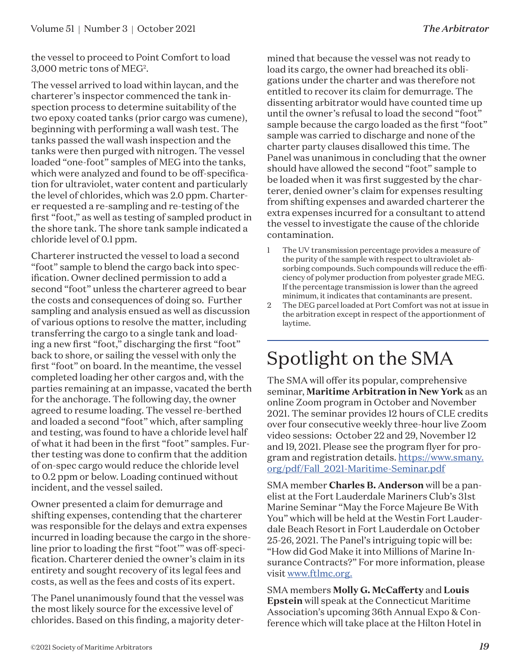the vessel to proceed to Point Comfort to load 3,000 metric tons of MEG2 .

The vessel arrived to load within laycan, and the charterer's inspector commenced the tank inspection process to determine suitability of the two epoxy coated tanks (prior cargo was cumene), beginning with performing a wall wash test. The tanks passed the wall wash inspection and the tanks were then purged with nitrogen. The vessel loaded "one-foot" samples of MEG into the tanks, which were analyzed and found to be off-specification for ultraviolet, water content and particularly the level of chlorides, which was 2.0 ppm. Charterer requested a re-sampling and re-testing of the first "foot," as well as testing of sampled product in the shore tank. The shore tank sample indicated a chloride level of 0.1 ppm.

Charterer instructed the vessel to load a second "foot" sample to blend the cargo back into specification. Owner declined permission to add a second "foot" unless the charterer agreed to bear the costs and consequences of doing so. Further sampling and analysis ensued as well as discussion of various options to resolve the matter, including transferring the cargo to a single tank and loading a new first "foot," discharging the first "foot" back to shore, or sailing the vessel with only the first "foot" on board. In the meantime, the vessel completed loading her other cargos and, with the parties remaining at an impasse, vacated the berth for the anchorage. The following day, the owner agreed to resume loading. The vessel re-berthed and loaded a second "foot" which, after sampling and testing, was found to have a chloride level half of what it had been in the first "foot" samples. Further testing was done to confirm that the addition of on-spec cargo would reduce the chloride level to 0.2 ppm or below. Loading continued without incident, and the vessel sailed.

Owner presented a claim for demurrage and shifting expenses, contending that the charterer was responsible for the delays and extra expenses incurred in loading because the cargo in the shoreline prior to loading the first "foot'" was off-specification. Charterer denied the owner's claim in its entirety and sought recovery of its legal fees and costs, as well as the fees and costs of its expert.

The Panel unanimously found that the vessel was the most likely source for the excessive level of chlorides. Based on this finding, a majority determined that because the vessel was not ready to load its cargo, the owner had breached its obligations under the charter and was therefore not entitled to recover its claim for demurrage. The dissenting arbitrator would have counted time up until the owner's refusal to load the second "foot" sample because the cargo loaded as the first "foot" sample was carried to discharge and none of the charter party clauses disallowed this time. The Panel was unanimous in concluding that the owner should have allowed the second "foot" sample to be loaded when it was first suggested by the charterer, denied owner's claim for expenses resulting from shifting expenses and awarded charterer the extra expenses incurred for a consultant to attend the vessel to investigate the cause of the chloride contamination.

- 1 The UV transmission percentage provides a measure of the purity of the sample with respect to ultraviolet absorbing compounds. Such compounds will reduce the efficiency of polymer production from polyester grade MEG. If the percentage transmission is lower than the agreed minimum, it indicates that contaminants are present.
- 2 The DEG parcel loaded at Port Comfort was not at issue in the arbitration except in respect of the apportionment of laytime.

### Spotlight on the SMA

The SMA will offer its popular, comprehensive seminar, **Maritime Arbitration in New York** as an online Zoom program in October and November 2021. The seminar provides 12 hours of CLE credits over four consecutive weekly three-hour live Zoom video sessions: October 22 and 29, November 12 and 19, 2021. Please see the program flyer for program and registration details. [https://www.smany.](https://www.smany.org/pdf/Fall_2021-Maritime-Seminar.pdf) [org/pdf/Fall\\_2021-Maritime-Seminar.pdf](https://www.smany.org/pdf/Fall_2021-Maritime-Seminar.pdf)

SMA member **Charles B. Anderson** will be a panelist at the Fort Lauderdale Mariners Club's 31st Marine Seminar "May the Force Majeure Be With You" which will be held at the Westin Fort Lauderdale Beach Resort in Fort Lauderdale on October 25-26, 2021. The Panel's intriguing topic will be: "How did God Make it into Millions of Marine Insurance Contracts?" For more information, please visit [www.ftlmc.org](http://www.ftlmc.org).

SMA members **Molly G. McCafferty** and **Louis Epstein** will speak at the Connecticut Maritime Association's upcoming 36th Annual Expo & Conference which will take place at the Hilton Hotel in